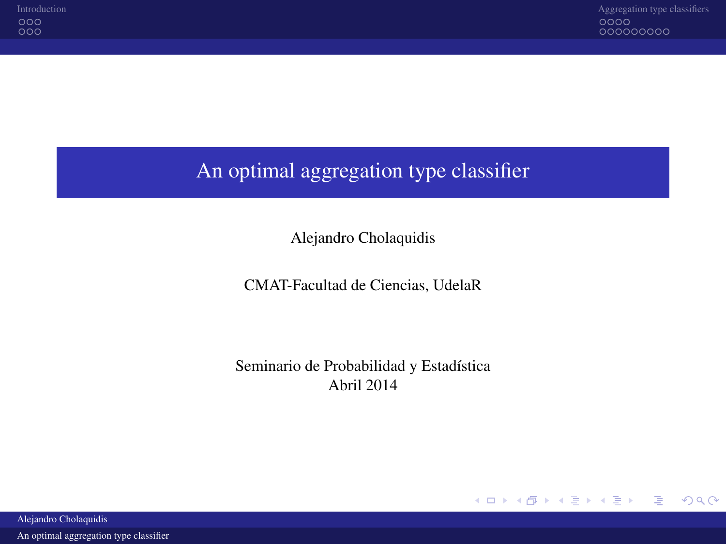# An optimal aggregation type classifier

Alejandro Cholaquidis

CMAT-Facultad de Ciencias, UdelaR

<span id="page-0-0"></span>Seminario de Probabilidad y Estadística Abril 2014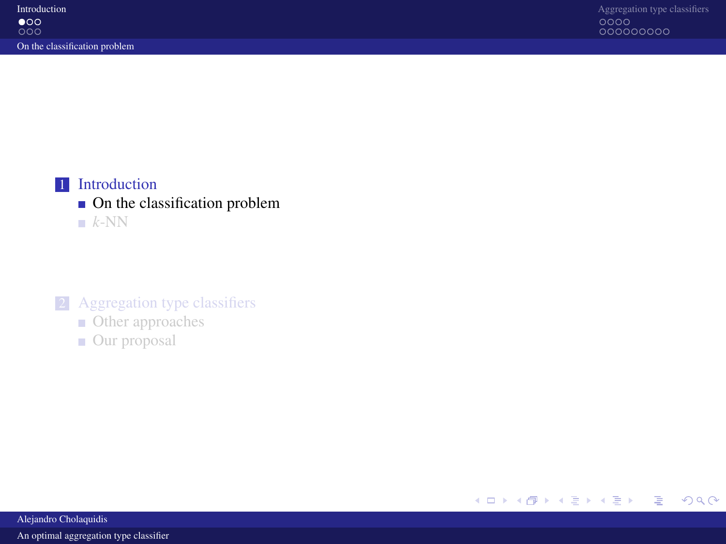

### $\blacksquare$  [On the classification problem](#page-1-0)

 $k$ [-NN](#page-4-0)

### 2 [Aggregation type classifiers](#page-7-0)

- **[Other approaches](#page-7-0)**
- [Our proposal](#page-11-0)

<span id="page-1-0"></span>

Alejandro Cholaquidis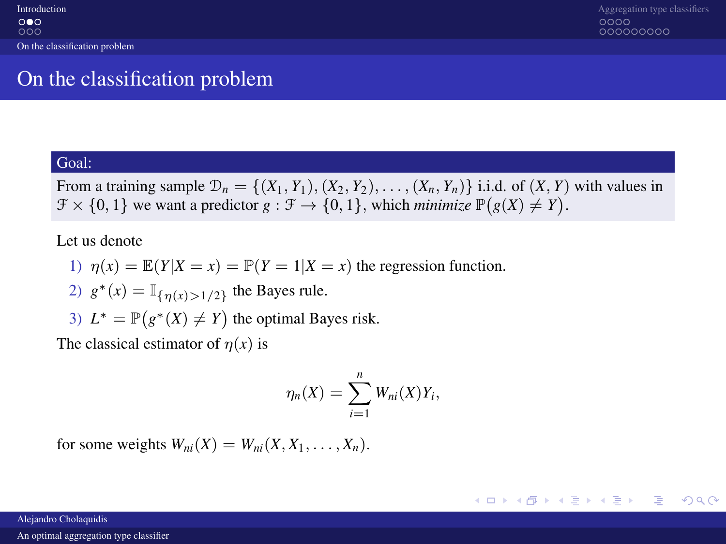# On the classification problem

#### Goal:

From a training sample  $\mathcal{D}_n = \{(X_1, Y_1), (X_2, Y_2), \ldots, (X_n, Y_n)\}\)$  i.i.d. of  $(X, Y)$  with values in  $\mathcal{F} \times \{0, 1\}$  we want a predictor  $g : \mathcal{F} \to \{0, 1\}$ , which *minimize*  $\mathbb{P}(g(X) \neq Y)$ .

#### Let us denote

- 1)  $\eta(x) = \mathbb{E}(Y|X=x) = \mathbb{P}(Y=1|X=x)$  the regression function.
- 2)  $g^*(x) = \mathbb{I}_{\{\eta(x) > 1/2\}}$  the Bayes rule.
- 3)  $L^* = \mathbb{P}(g^*(X) \neq Y)$  the optimal Bayes risk.

The classical estimator of  $\eta(x)$  is

<span id="page-2-0"></span>
$$
\eta_n(X)=\sum_{i=1}^n W_{ni}(X)Y_i,
$$

for some weights  $W_{ni}(X) = W_{ni}(X, X_1, \ldots, X_n)$ .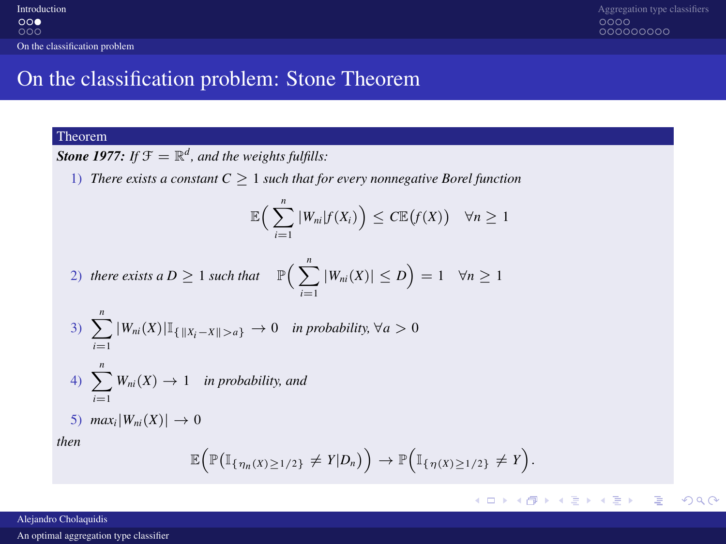# On the classification problem: Stone Theorem

#### Theorem

**Stone 1977:** If  $\mathcal{F} = \mathbb{R}^d$ , and the weights fulfills:

1) *There exists a constant*  $C \geq 1$  *such that for every nonnegative Borel function* 

$$
\mathbb{E}\Big(\sum_{i=1}^n |W_{ni}|f(X_i)\Big) \leq C \mathbb{E}\big(f(X)\big) \quad \forall n \geq 1
$$

2) there exists a 
$$
D \ge 1
$$
 such that  $\mathbb{P}\left(\sum_{i=1}^{n} |W_{ni}(X)| \le D\right) = 1 \quad \forall n \ge 1$ 

3) 
$$
\sum_{i=1}^{n} |W_{ni}(X)| \mathbb{I}_{\{\|X_i - X\| > a\}} \to 0 \text{ in probability, } \forall a > 0
$$

4) 
$$
\sum_{i=1}^{n} W_{ni}(X) \rightarrow 1 \text{ in probability, and}
$$

$$
5) \ \ \max_i |W_{ni}(X)| \to 0
$$

*then*

$$
\mathbb{E}\Big(\mathbb{P}\big(\mathbb{I}_{\{\eta_n(X)\geq 1/2\}}\neq Y|D_n\big)\Big)\to \mathbb{P}\Big(\mathbb{I}_{\{\eta(X)\geq 1/2\}}\neq Y\Big).
$$

#### <span id="page-3-0"></span>メロメメ 御きメモ メモモメー  $\equiv$  $299$

#### Alejandro Cholaquidis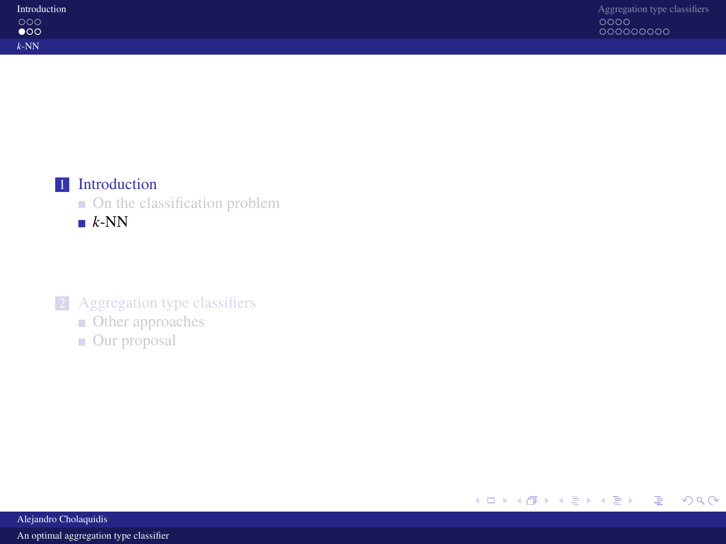| Introduction |
|--------------|
| റററ          |
| $\bullet$ 00 |
| $k$ -NN      |



 $\blacksquare$  [On the classification problem](#page-1-0)

 $k$ [-NN](#page-4-0)

### 2 [Aggregation type classifiers](#page-7-0)

- **[Other approaches](#page-7-0)**
- [Our proposal](#page-11-0)

<span id="page-4-0"></span>

Alejandro Cholaquidis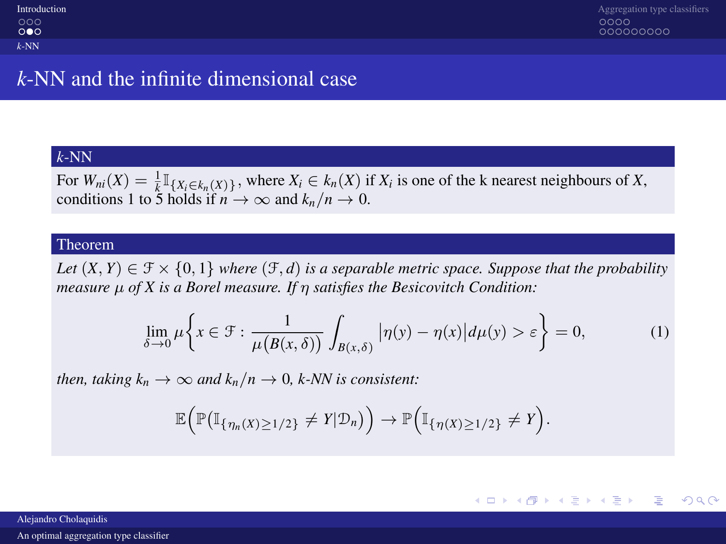| Introduction |
|--------------|
| റററ          |
| റ∙െ          |
| $k$ -NN      |

## *k*-NN and the infinite dimensional case

### *k*-NN

For  $W_{ni}(X) = \frac{1}{k} \mathbb{I}_{\{X_i \in k_n(X)\}}$ , where  $X_i \in k_n(X)$  if  $X_i$  is one of the k nearest neighbours of  $X$ , conditions 1 to 5 holds if  $n \to \infty$  and  $k_n/n \to 0$ .

#### Theorem

*Let*  $(X, Y) \in \mathcal{F} \times \{0, 1\}$  *where*  $(\mathcal{F}, d)$  *is a separable metric space. Suppose that the probability measure* µ *of X is a Borel measure. If* η *satisfies the Besicovitch Condition:*

$$
\lim_{\delta \to 0} \mu \left\{ x \in \mathcal{F} : \frac{1}{\mu(B(x,\delta))} \int_{B(x,\delta)} |\eta(y) - \eta(x)| d\mu(y) > \varepsilon \right\} = 0,
$$
 (1)

*then, taking*  $k_n \to \infty$  *and*  $k_n/n \to 0$ *, k-NN is consistent:* 

<span id="page-5-0"></span>
$$
\mathbb{E}\Big(\mathbb{P}\big(\mathbb{I}_{\{\eta_n(X)\geq 1/2\}}\neq Y|\mathcal{D}_n\big)\Big)\to \mathbb{P}\Big(\mathbb{I}_{\{\eta(X)\geq 1/2\}}\neq Y\Big).
$$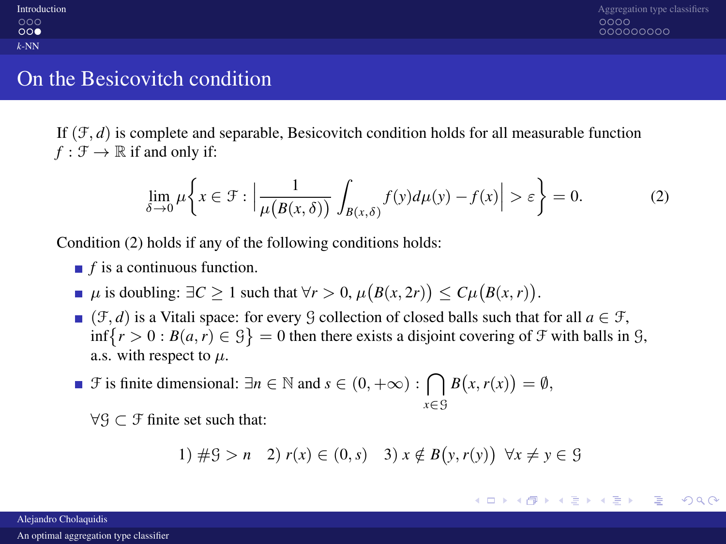| Introduction |
|--------------|
| റററ          |
| ററൈ          |
| $k$ -NN      |

### On the Besicovitch condition

If  $(\mathcal{F}, d)$  is complete and separable, Besicovitch condition holds for all measurable function  $f : \mathcal{F} \to \mathbb{R}$  if and only if:

<span id="page-6-1"></span>
$$
\lim_{\delta \to 0} \mu \left\{ x \in \mathcal{F} : \left| \frac{1}{\mu(B(x,\delta))} \int_{B(x,\delta)} f(y) d\mu(y) - f(x) \right| > \varepsilon \right\} = 0. \tag{2}
$$

Condition [\(2\)](#page-6-1) holds if any of the following conditions holds:

- *f* is a continuous function.
- $\mu$  is doubling: ∃*C* ≥ 1 such that  $\forall r > 0$ ,  $\mu(B(x, 2r)) \le C\mu(B(x, r)).$
- (F, *d*) is a Vitali space: for every G collection of closed balls such that for all  $a \in \mathcal{F}$ ,  $\inf\{r > 0 : B(a, r) \in \mathcal{G}\} = 0$  then there exists a disjoint covering of  $\mathcal{F}$  with balls in  $\mathcal{G}$ , a.s. with respect to  $\mu$ .
- *F* is finite dimensional:  $\exists n \in \mathbb{N}$  and  $s \in (0, +\infty)$  :  $\bigcap B(x, r(x)) = \emptyset$ , *x*∈G

 $\forall \mathcal{G} \subset \mathcal{F}$  finite set such that:

<span id="page-6-0"></span>1) 
$$
\#S > n \quad 2) \ r(x) \in (0, s) \quad 3) \ x \notin B(y, r(y)) \ \ \forall x \neq y \in S
$$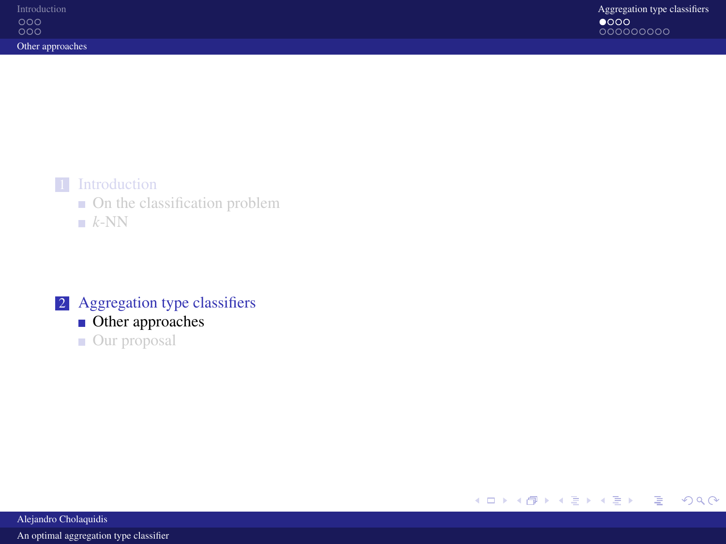

- **On** the classification problem
- $k$ [-NN](#page-4-0)

### 2 [Aggregation type classifiers](#page-7-0)

- [Other approaches](#page-7-0)
- [Our proposal](#page-11-0)

<span id="page-7-0"></span>

Alejandro Cholaquidis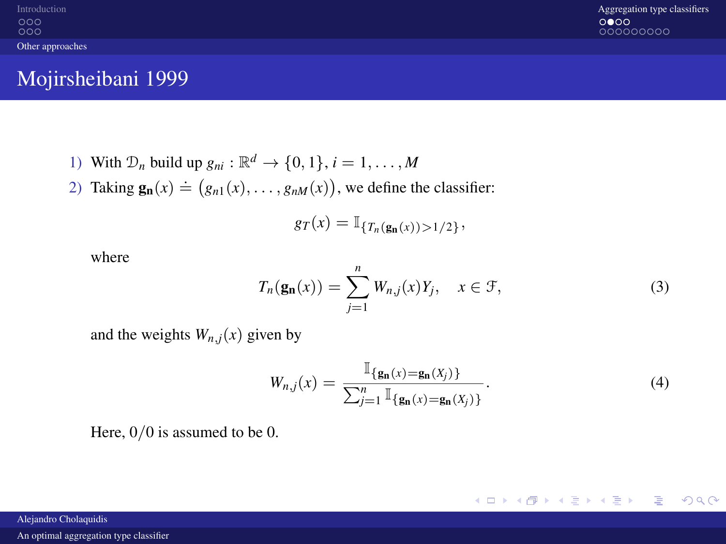$000$ [Other approaches](#page-8-0)

[Introduction](#page-1-0) **[Aggregation type classifiers](#page-7-0)** Aggregation type classifiers **Aggregation type classifiers** Aggregation type classifiers **Aggregation** type classifiers **Aggregation** type classifiers 000000000

### Mojirsheibani 1999

- 1) With  $\mathcal{D}_n$  build up  $g_{ni}: \mathbb{R}^d \to \{0, 1\}, i = 1, \ldots, M$
- 2) Taking  $\mathbf{g_n}(x) \doteq (g_{n1}(x), \dots, g_{nM}(x))$ , we define the classifier:

$$
g_T(x) = \mathbb{I}_{\{T_n(\mathbf{g_n}(x)) > 1/2\}},
$$

where

$$
T_n(\mathbf{g_n}(x)) = \sum_{j=1}^n W_{n,j}(x)Y_j, \quad x \in \mathcal{F}, \tag{3}
$$

and the weights  $W_{n,j}(x)$  given by

<span id="page-8-0"></span>
$$
W_{n,j}(x) = \frac{\mathbb{I}_{\{\mathbf{g_n}(x) = \mathbf{g_n}(X_j)\}}}{\sum_{j=1}^n \mathbb{I}_{\{\mathbf{g_n}(x) = \mathbf{g_n}(X_j)\}}}.
$$
(4)

Here,  $0/0$  is assumed to be 0.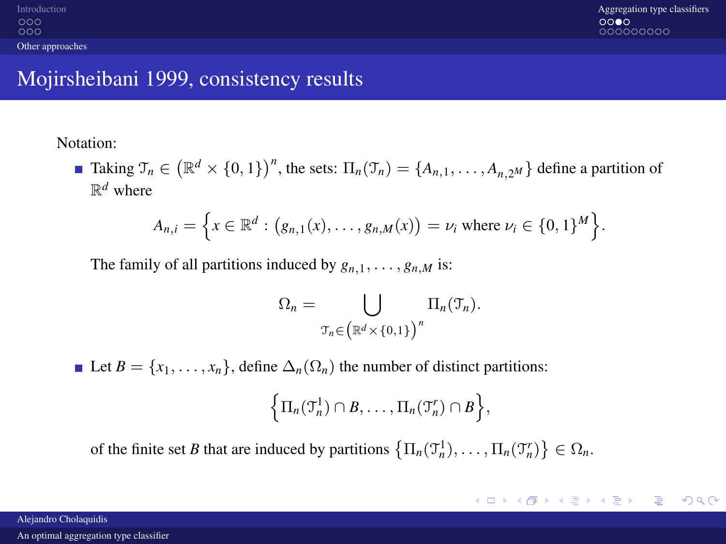$000$  $000$ [Other approaches](#page-9-0)

## Mojirsheibani 1999, consistency results

Notation:

Taking  $\mathcal{T}_n \in (\mathbb{R}^d \times \{0, 1\})^n$ , the sets:  $\Pi_n(\mathcal{T}_n) = \{A_{n,1}, \dots, A_{n,2^M}\}\$  define a partition of  $\mathbb{R}^d$  where

$$
A_{n,i} = \left\{ x \in \mathbb{R}^d : (g_{n,1}(x), \ldots, g_{n,M}(x)) = \nu_i \text{ where } \nu_i \in \{0,1\}^M \right\}.
$$

The family of all partitions induced by  $g_{n,1}, \ldots, g_{n,M}$  is:

$$
\Omega_n = \bigcup_{\mathcal{T}_n \in \left( \mathbb{R}^d \times \{0,1\} \right)^n} \Pi_n(\mathcal{T}_n).
$$

Let  $B = \{x_1, \ldots, x_n\}$ , define  $\Delta_n(\Omega_n)$  the number of distinct partitions:

<span id="page-9-0"></span>
$$
\left\{\Pi_n(\mathfrak{I}_n^1)\cap B,\ldots,\Pi_n(\mathfrak{I}_n^r)\cap B\right\},\
$$

of the finite set *B* that are induced by partitions  $\left\{\Pi_n(\mathcal{T}_n^1), \ldots, \Pi_n(\mathcal{T}_n^r)\right\} \in \Omega_n$ .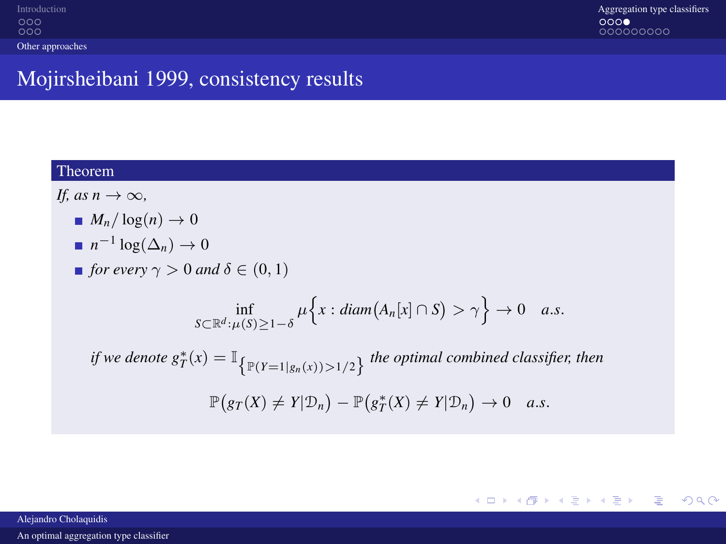# Mojirsheibani 1999, consistency results

#### Theorem

*If, as*  $n \to \infty$ *,* 

- $M_n/\log(n) \to 0$
- $n^{-1}\log(\Delta_n)\to 0$
- *for every*  $\gamma > 0$  *and*  $\delta \in (0, 1)$

$$
\inf_{S\subset\mathbb{R}^d:\,\mu(S)\geq 1-\delta}\mu\Big\{x:\, diam\big(A_n[x]\cap S\big)>\gamma\Big\}\to 0\quad a.s.
$$

*if we denote*  $g_T^*(x) = \mathbb{I}_{\left\{\mathbb{P}(Y=1|g_n(x))>1/2\right\}}$  the optimal combined classifier, then  $\mathbb{P}(gr(X) \neq Y | \mathcal{D}_n) - \mathbb{P}(g_T^*(X) \neq Y | \mathcal{D}_n) \to 0$  *a.s.* 

<span id="page-10-0"></span>KID KAP KID KID KID A MAA

Alejandro Cholaquidis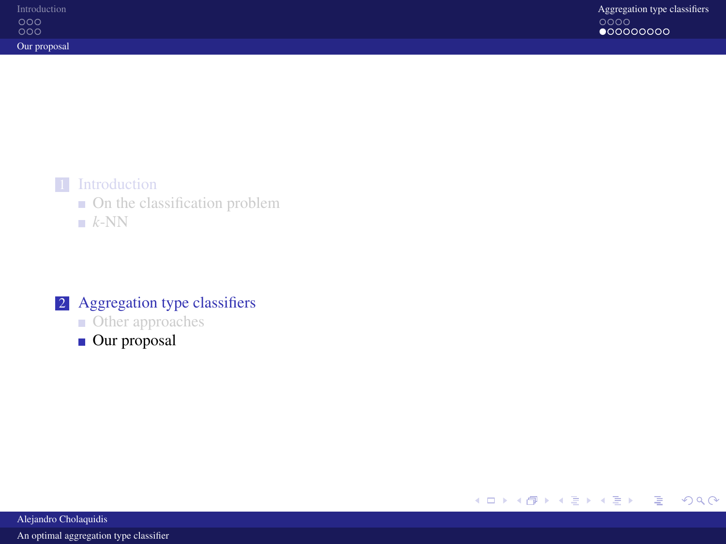

- **On** the classification problem
- $k$ [-NN](#page-4-0)

### 2 [Aggregation type classifiers](#page-7-0)

- **[Other approaches](#page-7-0)**
- [Our proposal](#page-11-0)

#### <span id="page-11-0"></span>イロトス 御 トメ 君 トメ 君 トッ 重  $299$

Alejandro Cholaquidis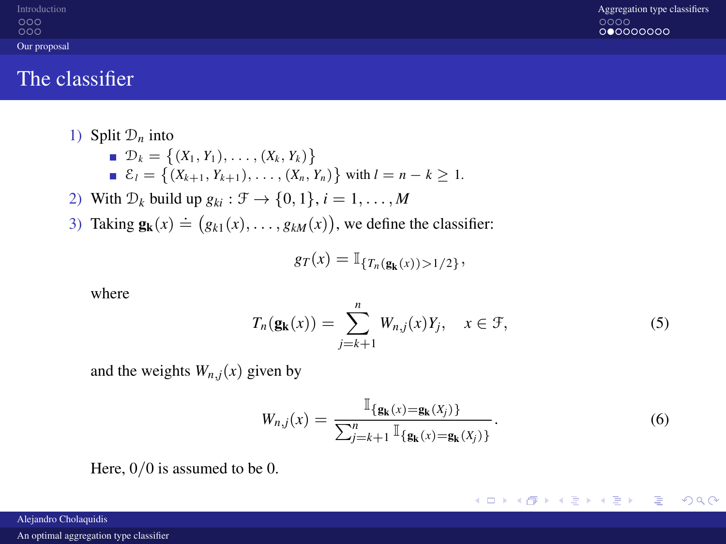| Introduction |
|--------------|
| റററ          |
| റററ          |
| Our proposal |

### The classifier

- 1) Split  $\mathcal{D}_n$  into  $\mathcal{D}_k = \{(X_1, Y_1), \ldots, (X_k, Y_k)\}\$  $\mathcal{E}_l = \{(X_{k+1}, Y_{k+1}), \ldots, (X_n, Y_n)\}\$  with  $l = n - k \geq 1$ .
- 2) With  $\mathcal{D}_k$  build up  $g_{ki}: \mathcal{F} \to \{0, 1\}, i = 1, \ldots, M$
- 3) Taking  $\mathbf{g}_{\mathbf{k}}(x) \doteq (g_{k1}(x), \dots, g_{kM}(x))$ , we define the classifier:

$$
g_T(x) = \mathbb{I}_{\{T_n(\mathbf{g}_{\mathbf{k}}(x)) > 1/2\}},
$$

where

$$
T_n(\mathbf{g_k}(x)) = \sum_{j=k+1}^n W_{n,j}(x)Y_j, \quad x \in \mathcal{F},
$$
\n<sup>(5)</sup>

and the weights  $W_{n,i}(x)$  given by

<span id="page-12-1"></span>
$$
W_{n,j}(x) = \frac{\mathbb{I}_{\{\mathbf{g}_{k}(x) = \mathbf{g}_{k}(X_{j})\}}}{\sum_{j=k+1}^{n} \mathbb{I}_{\{\mathbf{g}_{k}(x) = \mathbf{g}_{k}(X_{j})\}}}.
$$
(6)

イロト イ押ト イヨト イヨトー

Ε

<span id="page-12-0"></span> $QQ$ 

Here,  $0/0$  is assumed to be 0.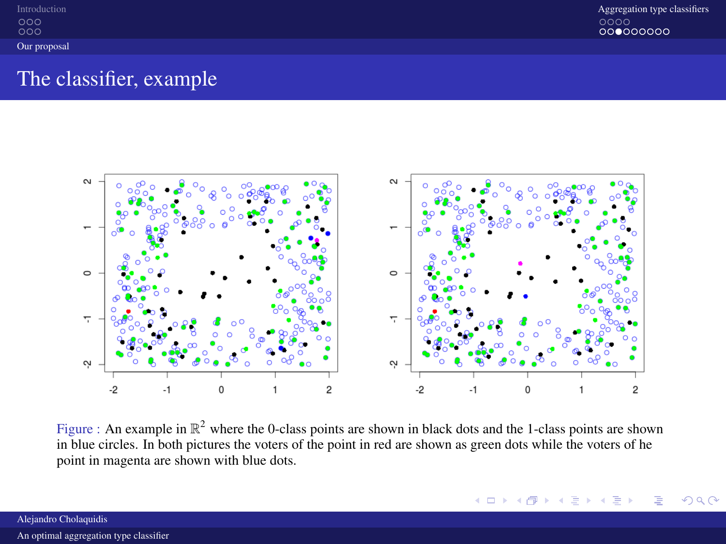| Introduction |  |
|--------------|--|
| റററ<br>റററ   |  |
| Our proposal |  |

## The classifier, example



<span id="page-13-0"></span>Figure : An example in  $\mathbb{R}^2$  where the 0-class points are shown in black dots and the 1-class points are shown in blue circles. In both pictures the voters of the point in red are shown as green dots while the voters of he point in magenta are shown with blue dots.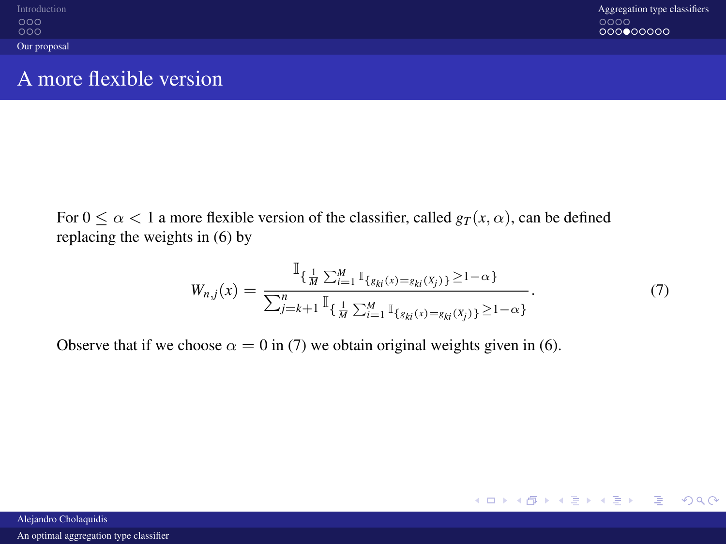| Introduction |
|--------------|
| റററ          |
| റററ          |
| Our proposal |

## A more flexible version

For  $0 \le \alpha < 1$  a more flexible version of the classifier, called  $g_T(x, \alpha)$ , can be defined replacing the weights in [\(6\)](#page-12-1) by

<span id="page-14-1"></span><span id="page-14-0"></span>
$$
W_{n,j}(x) = \frac{\mathbb{I}_{\{\frac{1}{M}\sum_{i=1}^{M}\mathbb{I}_{\{g_{ki}(x) = g_{ki}(X_j)\}} \ge 1-\alpha\}}}{\sum_{j=k+1}^{n}\mathbb{I}_{\{\frac{1}{M}\sum_{i=1}^{M}\mathbb{I}_{\{g_{ki}(x) = g_{ki}(X_j)\}} \ge 1-\alpha\}}}.
$$
(7)

Observe that if we choose  $\alpha = 0$  in [\(7\)](#page-14-1) we obtain original weights given in [\(6\)](#page-12-1).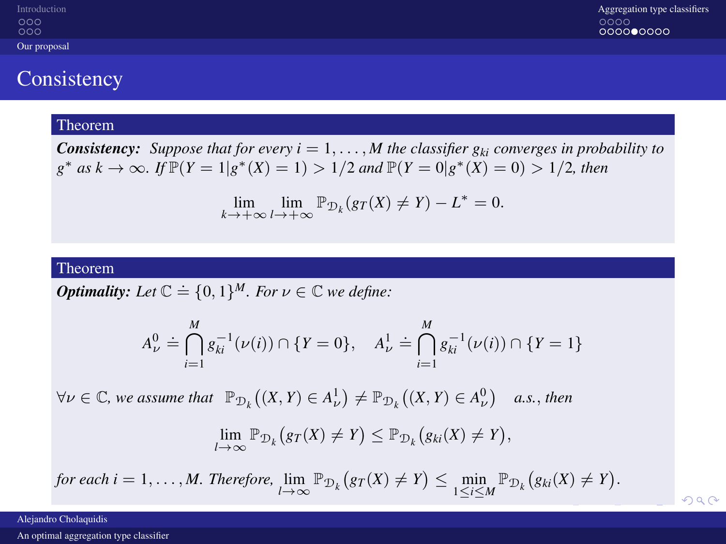| Introduction | Aggregation type classifiers |
|--------------|------------------------------|
| 000          | 0000                         |
| 000          | 000000000                    |
| Our proposal |                              |

### **Consistency**

#### Theorem

*Consistency: Suppose that for every*  $i = 1, ..., M$  *the classifier*  $g_{ki}$  *converges in probability to g*<sup>\*</sup> *as k* → ∞*. If*  $\mathbb{P}(Y = 1 | g^*(X) = 1) > 1/2$  *and*  $\mathbb{P}(Y = 0 | g^*(X) = 0) > 1/2$ *, then* 

$$
\lim_{k \to +\infty} \lim_{l \to +\infty} \mathbb{P}_{\mathcal{D}_k}(gr(X) \neq Y) - L^* = 0.
$$

#### Theorem

*<i>Optimality:* Let  $\mathbb{C} \doteq \{0, 1\}^M$ *. For*  $\nu \in \mathbb{C}$  *we define:* 

$$
A_{\nu}^{0} \doteq \bigcap_{i=1}^{M} g_{ki}^{-1}(\nu(i)) \cap \{Y=0\}, \quad A_{\nu}^{1} \doteq \bigcap_{i=1}^{M} g_{ki}^{-1}(\nu(i)) \cap \{Y=1\}
$$

 $\forall \nu \in \mathbb{C}$ , we assume that  $\mathbb{P}_{\mathcal{D}_k}((X, Y) \in A_{\nu}^1) \neq \mathbb{P}_{\mathcal{D}_k}((X, Y) \in A_{\nu}^0)$  a.s., then

$$
\lim_{l\to\infty} \mathbb{P}_{\mathcal{D}_k}\big(g_T(X)\neq Y\big)\leq \mathbb{P}_{\mathcal{D}_k}\big(g_{ki}(X)\neq Y\big),\,
$$

<span id="page-15-0"></span> $209$ 

 $f \circ r$  each  $i = 1, ..., M$ . Therefore,  $\lim_{l \to \infty} \mathbb{P}_{\mathcal{D}_k} (gr(X) \neq Y) \leq \min_{1 \leq i \leq M} \mathbb{P}_{\mathcal{D}_k} (g_{ki}(X) \neq Y)$  $\lim_{l \to \infty} \mathbb{P}_{\mathcal{D}_k} (gr(X) \neq Y) \leq \min_{1 \leq i \leq M} \mathbb{P}_{\mathcal{D}_k} (g_{ki}(X) \neq Y)$  $\lim_{l \to \infty} \mathbb{P}_{\mathcal{D}_k} (gr(X) \neq Y) \leq \min_{1 \leq i \leq M} \mathbb{P}_{\mathcal{D}_k} (g_{ki}(X) \neq Y)$ .

Alejandro Cholaquidis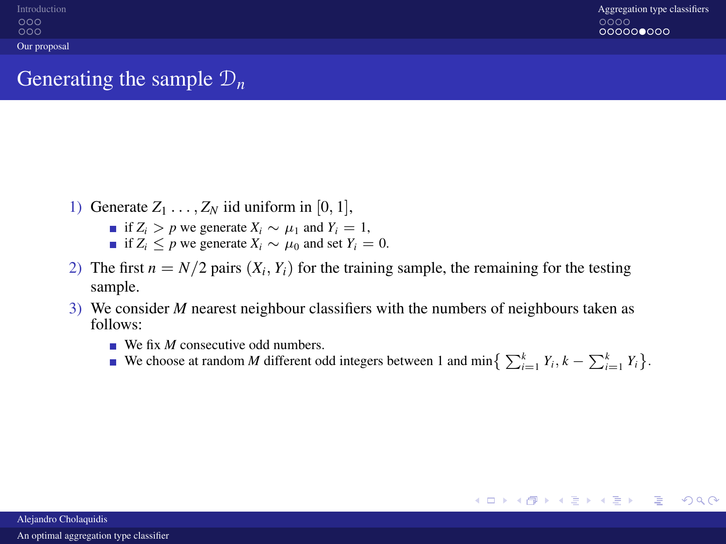# Generating the sample D*<sup>n</sup>*

- 1) Generate  $Z_1 \ldots, Z_N$  iid uniform in [0, 1],
	- **■** if  $Z_i > p$  we generate  $X_i \sim \mu_1$  and  $Y_i = 1$ ,
	- **i** if  $Z_i$  ≤ *p* we generate  $X_i$  ∼  $\mu_0$  and set  $Y_i$  = 0.
- 2) The first  $n = N/2$  pairs  $(X_i, Y_i)$  for the training sample, the remaining for the testing sample.
- <span id="page-16-0"></span>3) We consider *M* nearest neighbour classifiers with the numbers of neighbours taken as follows:
	- We fix *M* consecutive odd numbers.
	- We choose at random *M* different odd integers between 1 and min $\left\{ \sum_{i=1}^{k} Y_i, k \sum_{i=1}^{k} Y_i \right\}$ .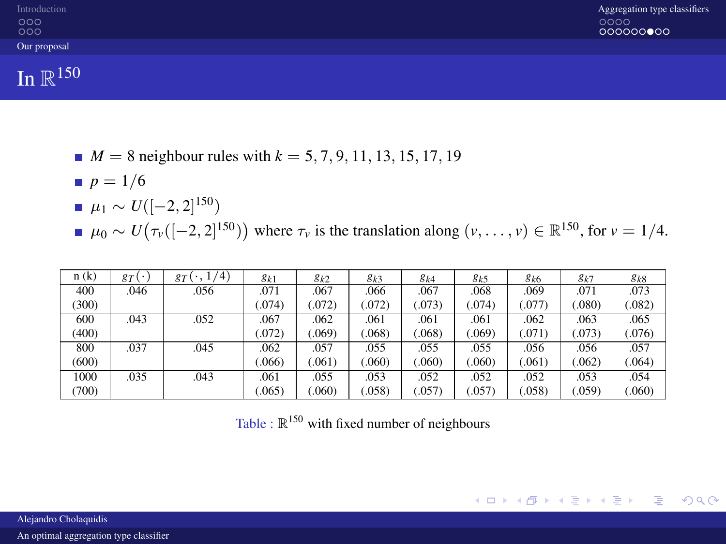| Introduction<br>000<br>000 | Aggregation type classifiers<br>0000<br>000000000 |
|----------------------------|---------------------------------------------------|
| Our proposal               |                                                   |
|                            |                                                   |

In  $\mathbb{R}^{150}$ 

- $M = 8$  neighbour rules with  $k = 5, 7, 9, 11, 13, 15, 17, 19$
- $p = 1/6$
- $\mu_1 \sim U([-2, 2]^{150})$
- $\mu_0 \sim U(\tau_v([-2, 2]^{150}))$  where  $\tau_v$  is the translation along  $(v, \dots, v) \in \mathbb{R}^{150}$ , for  $v = 1/4$ .

| n(k)  | gT<br>$\mathbf{r}$ | 1/4)<br>$g_T$<br>$\cdot$ . | $g_{k1}$ | $g_{k2}$ | $g_{k3}$ | $g_{k4}$ | $g_{k5}$ | g <sub>k6</sub> | $g_k$ 7 | $g_{k8}$ |
|-------|--------------------|----------------------------|----------|----------|----------|----------|----------|-----------------|---------|----------|
| 400   | .046               | .056                       | .071     | .067     | .066     | .067     | .068     | .069            | .071    | .073     |
| (300) |                    |                            | (074)    | (072)    | (072)    | (073)    | .074)    | (.077)          | (.080)  | (.082)   |
| 600   | .043               | .052                       | .067     | .062     | .061     | .061     | .061     | .062            | .063    | .065     |
| (400) |                    |                            | (072)    | (.069)   | 068      | .068)    | .069     | (.071)          | (.073)  | (.076)   |
| 800   | .037               | .045                       | .062     | .057     | .055     | .055     | .055     | .056            | .056    | .057     |
| (600) |                    |                            | .066     | (.061)   | 060      | .060)    | .060)    | (.061)          | (.062)  | (.064)   |
| 1000  | .035               | .043                       | .061     | .055     | .053     | .052     | .052     | .052            | .053    | .054     |
| (700) |                    |                            | 065      | (.060)   | (.058)   | (.057)   | .057     | (.058)          | (.059)  | (.060)   |

<span id="page-17-0"></span>

|  |  |  |  |  |  | Table : $\mathbb{R}^{150}$ with fixed number of neighbours |
|--|--|--|--|--|--|------------------------------------------------------------|
|--|--|--|--|--|--|------------------------------------------------------------|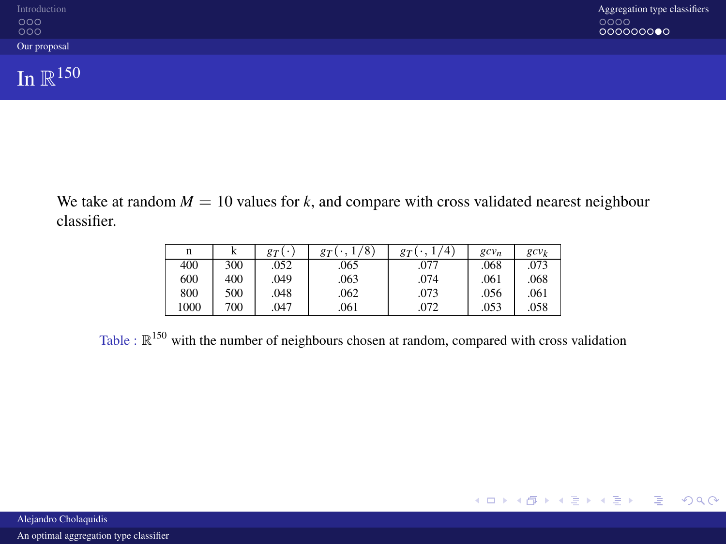| Introduction<br>$\frac{000}{000}$ | Aggregation type classifiers<br>0000<br>000000000 |
|-----------------------------------|---------------------------------------------------|
| Our proposal                      |                                                   |
| In $\mathbb{R}^{150}$             |                                                   |

We take at random  $M = 10$  values for  $k$ , and compare with cross validated nearest neighbour classifier.

<span id="page-18-0"></span>

| n    | A   | $_{qT}$ | /8<br>$\sigma_T$ | $\mathbf{A}$<br>$\sigma_T$ | $gcv_n$ | $gcv_k$ |
|------|-----|---------|------------------|----------------------------|---------|---------|
| 400  | 300 | .052    | .065             | .077                       | .068    | .073    |
| 600  | 400 | .049    | .063             | .074                       | .061    | .068    |
| 800  | 500 | .048    | .062             | .073                       | .056    | .061    |
| 1000 | 700 | .047    | .061             | .072                       | .053    | .058    |

Table :  $\mathbb{R}^{150}$  with the number of neighbours chosen at random, compared with cross validation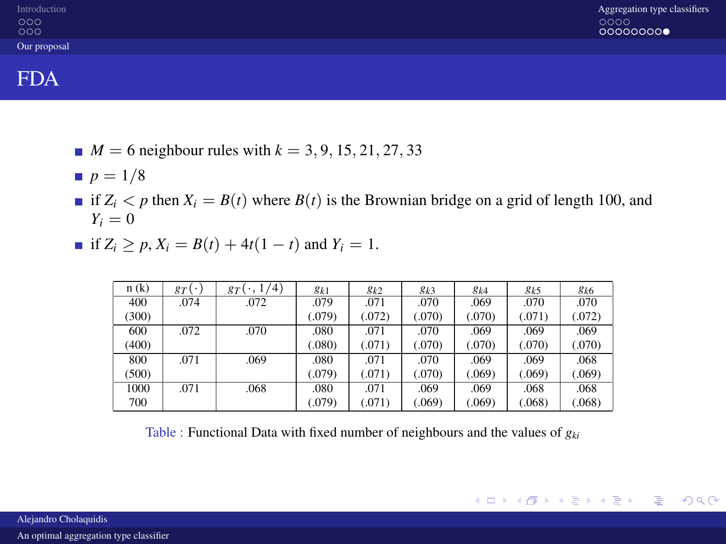| Introduction<br>$\frac{000}{000}$ | Aggregation type classifiers<br>0000<br>00000000 |
|-----------------------------------|--------------------------------------------------|
| Our proposal                      |                                                  |
|                                   |                                                  |

### FDA

- $M = 6$  neighbour rules with  $k = 3, 9, 15, 21, 27, 33$
- $p = 1/8$
- if  $Z_i < p$  then  $X_i = B(t)$  where  $B(t)$  is the Brownian bridge on a grid of length 100, and  $Y_i = 0$
- **■** if  $Z_i > p$ ,  $X_i = B(t) + 4t(1 t)$  and  $Y_i = 1$ .

| n(k)  | $g_T(\cdot)$ | (4)<br>$_{\rm\scriptstyle ST}$ | $g_{k1}$ | $g_{k2}$ | $g_{k3}$ | $g_{k4}$ | $g_{k5}$ | $g_{k6}$ |
|-------|--------------|--------------------------------|----------|----------|----------|----------|----------|----------|
| 400   | .074         | .072                           | .079     | .071     | .070     | .069     | .070     | .070     |
| (300) |              |                                | (.079)   | (.072)   | (.070)   | (.070)   | (.071)   | (.072)   |
| 600   | .072         | .070                           | .080     | .071     | .070     | .069     | .069     | .069     |
| (400) |              |                                | (.080)   | (.071)   | (.070)   | (.070)   | (.070)   | (.070)   |
| 800   | .071         | .069                           | .080     | .071     | .070     | .069     | .069     | .068     |
| (500) |              |                                | (.079)   | (.071)   | (.070)   | (.069)   | (.069)   | (.069)   |
| 1000  | .071         | .068                           | .080     | .071     | .069     | .069     | .068     | .068     |
| 700   |              |                                | (.079)   | (.071)   | (.069)   | (.069)   | (.068)   | (.068)   |

<span id="page-19-0"></span>Table : Functional Data with fixed number of neighbours and the values of *gki*